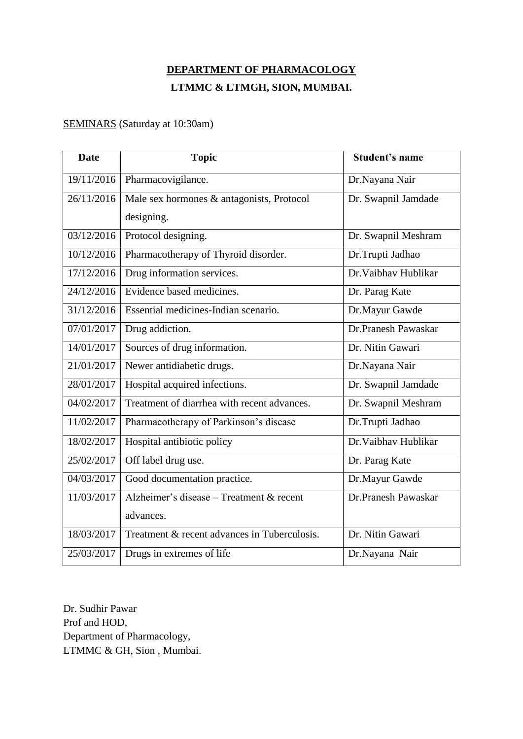# **DEPARTMENT OF PHARMACOLOGY LTMMC & LTMGH, SION, MUMBAI.**

### SEMINARS (Saturday at 10:30am)

| <b>Date</b> | <b>Topic</b>                                 | <b>Student's name</b> |
|-------------|----------------------------------------------|-----------------------|
| 19/11/2016  | Pharmacovigilance.                           | Dr.Nayana Nair        |
| 26/11/2016  | Male sex hormones & antagonists, Protocol    | Dr. Swapnil Jamdade   |
|             | designing.                                   |                       |
| 03/12/2016  | Protocol designing.                          | Dr. Swapnil Meshram   |
| 10/12/2016  | Pharmacotherapy of Thyroid disorder.         | Dr.Trupti Jadhao      |
| 17/12/2016  | Drug information services.                   | Dr. Vaibhay Hublikar  |
| 24/12/2016  | Evidence based medicines.                    | Dr. Parag Kate        |
| 31/12/2016  | Essential medicines-Indian scenario.         | Dr.Mayur Gawde        |
| 07/01/2017  | Drug addiction.                              | Dr.Pranesh Pawaskar   |
| 14/01/2017  | Sources of drug information.                 | Dr. Nitin Gawari      |
| 21/01/2017  | Newer antidiabetic drugs.                    | Dr.Nayana Nair        |
| 28/01/2017  | Hospital acquired infections.                | Dr. Swapnil Jamdade   |
| 04/02/2017  | Treatment of diarrhea with recent advances.  | Dr. Swapnil Meshram   |
| 11/02/2017  | Pharmacotherapy of Parkinson's disease       | Dr.Trupti Jadhao      |
| 18/02/2017  | Hospital antibiotic policy                   | Dr. Vaibhav Hublikar  |
| 25/02/2017  | Off label drug use.                          | Dr. Parag Kate        |
| 04/03/2017  | Good documentation practice.                 | Dr.Mayur Gawde        |
| 11/03/2017  | Alzheimer's disease - Treatment & recent     | Dr.Pranesh Pawaskar   |
|             | advances.                                    |                       |
| 18/03/2017  | Treatment & recent advances in Tuberculosis. | Dr. Nitin Gawari      |
| 25/03/2017  | Drugs in extremes of life                    | Dr.Nayana Nair        |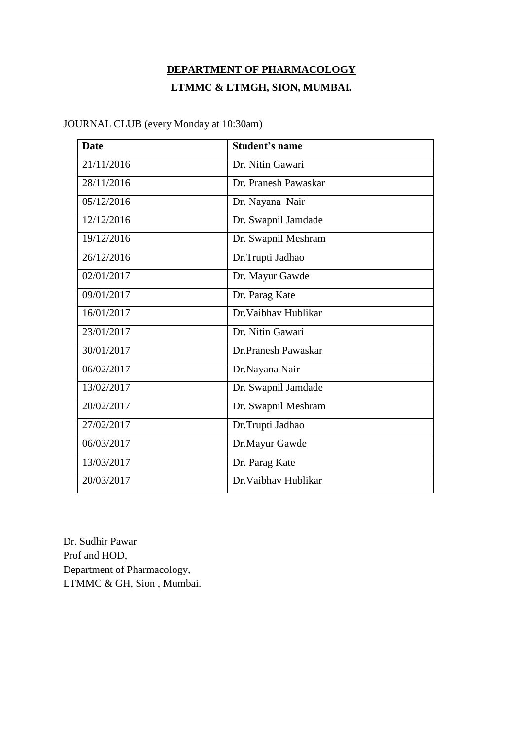## **DEPARTMENT OF PHARMACOLOGY LTMMC & LTMGH, SION, MUMBAI.**

**Date Student's name** 21/11/2016 Dr. Nitin Gawari 28/11/2016 Dr. Pranesh Pawaskar 05/12/2016 Dr. Nayana Nair 12/12/2016 Dr. Swapnil Jamdade 19/12/2016 Dr. Swapnil Meshram 26/12/2016 Dr.Trupti Jadhao 02/01/2017 **Dr. Mayur Gawde** 09/01/2017 **Dr. Parag Kate** 16/01/2017 Dr.Vaibhav Hublikar 23/01/2017 Dr. Nitin Gawari 30/01/2017 Dr.Pranesh Pawaskar 06/02/2017 Dr.Nayana Nair 13/02/2017 Dr. Swapnil Jamdade 20/02/2017 Dr. Swapnil Meshram 27/02/2017 Dr.Trupti Jadhao 06/03/2017 Dr.Mayur Gawde 13/03/2017 Dr. Parag Kate 20/03/2017 Dr.Vaibhav Hublikar

JOURNAL CLUB (every Monday at 10:30am)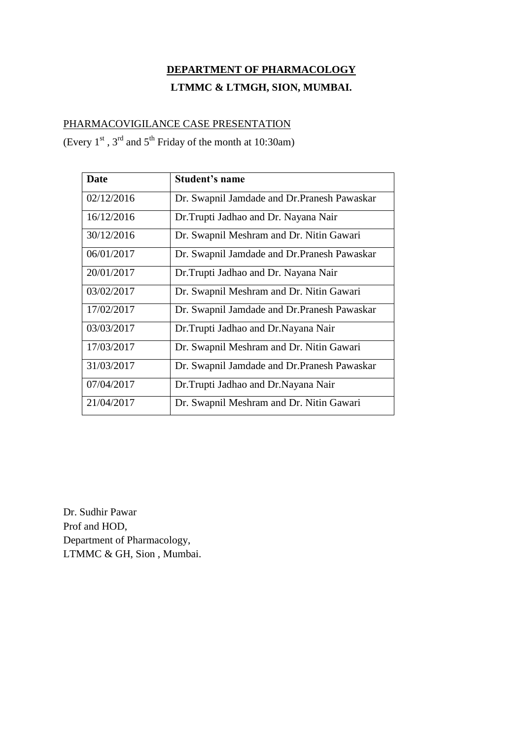## **DEPARTMENT OF PHARMACOLOGY**

### **LTMMC & LTMGH, SION, MUMBAI.**

#### PHARMACOVIGILANCE CASE PRESENTATION

(Every  $1<sup>st</sup>$ ,  $3<sup>rd</sup>$  and  $5<sup>th</sup>$  Friday of the month at 10:30am)

| Date       | <b>Student's name</b>                        |
|------------|----------------------------------------------|
| 02/12/2016 | Dr. Swapnil Jamdade and Dr. Pranesh Pawaskar |
| 16/12/2016 | Dr. Trupti Jadhao and Dr. Nayana Nair        |
| 30/12/2016 | Dr. Swapnil Meshram and Dr. Nitin Gawari     |
| 06/01/2017 | Dr. Swapnil Jamdade and Dr. Pranesh Pawaskar |
| 20/01/2017 | Dr. Trupti Jadhao and Dr. Nayana Nair        |
| 03/02/2017 | Dr. Swapnil Meshram and Dr. Nitin Gawari     |
| 17/02/2017 | Dr. Swapnil Jamdade and Dr. Pranesh Pawaskar |
| 03/03/2017 | Dr.Trupti Jadhao and Dr.Nayana Nair          |
| 17/03/2017 | Dr. Swapnil Meshram and Dr. Nitin Gawari     |
| 31/03/2017 | Dr. Swapnil Jamdade and Dr. Pranesh Pawaskar |
| 07/04/2017 | Dr. Trupti Jadhao and Dr. Nayana Nair        |
| 21/04/2017 | Dr. Swapnil Meshram and Dr. Nitin Gawari     |